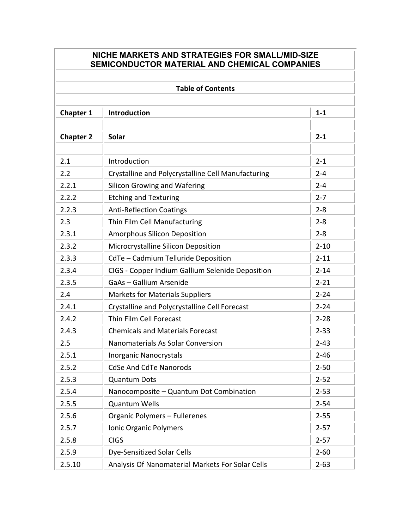## **NICHE MARKETS AND STRATEGIES FOR SMALL/MID-SIZE SEMICONDUCTOR MATERIAL AND CHEMICAL COMPANIES**

| <b>Table of Contents</b> |                                                    |          |  |  |
|--------------------------|----------------------------------------------------|----------|--|--|
| <b>Chapter 1</b>         | <b>Introduction</b>                                | $1 - 1$  |  |  |
| <b>Chapter 2</b>         | <b>Solar</b>                                       | $2 - 1$  |  |  |
| 2.1                      | Introduction                                       | $2 - 1$  |  |  |
| 2.2                      | Crystalline and Polycrystalline Cell Manufacturing | $2 - 4$  |  |  |
| 2.2.1                    | <b>Silicon Growing and Wafering</b>                | $2 - 4$  |  |  |
| 2.2.2                    | <b>Etching and Texturing</b>                       | $2 - 7$  |  |  |
| 2.2.3                    | <b>Anti-Reflection Coatings</b>                    | $2 - 8$  |  |  |
| 2.3                      | Thin Film Cell Manufacturing                       | $2 - 8$  |  |  |
| 2.3.1                    | <b>Amorphous Silicon Deposition</b>                | $2 - 8$  |  |  |
| 2.3.2                    | Microcrystalline Silicon Deposition                | $2 - 10$ |  |  |
| 2.3.3                    | CdTe - Cadmium Telluride Deposition                | $2 - 11$ |  |  |
| 2.3.4                    | CIGS - Copper Indium Gallium Selenide Deposition   | $2 - 14$ |  |  |
| 2.3.5                    | GaAs - Gallium Arsenide                            | $2 - 21$ |  |  |
| 2.4                      | <b>Markets for Materials Suppliers</b>             | $2 - 24$ |  |  |
| 2.4.1                    | Crystalline and Polycrystalline Cell Forecast      | $2 - 24$ |  |  |
| 2.4.2                    | Thin Film Cell Forecast                            | $2 - 28$ |  |  |
| 2.4.3                    | <b>Chemicals and Materials Forecast</b>            | $2 - 33$ |  |  |
| 2.5                      | Nanomaterials As Solar Conversion                  | $2 - 43$ |  |  |
| 2.5.1                    | Inorganic Nanocrystals                             | $2 - 46$ |  |  |
| 2.5.2                    | <b>CdSe And CdTe Nanorods</b>                      | $2 - 50$ |  |  |
| 2.5.3                    | Quantum Dots                                       | $2 - 52$ |  |  |
| 2.5.4                    | Nanocomposite - Quantum Dot Combination            | $2 - 53$ |  |  |
| 2.5.5                    | <b>Quantum Wells</b>                               | $2 - 54$ |  |  |
| 2.5.6                    | Organic Polymers - Fullerenes                      | $2 - 55$ |  |  |
| 2.5.7                    | Ionic Organic Polymers                             | $2 - 57$ |  |  |
| 2.5.8                    | <b>CIGS</b>                                        | $2 - 57$ |  |  |
| 2.5.9                    | <b>Dye-Sensitized Solar Cells</b>                  | $2 - 60$ |  |  |
| 2.5.10                   | Analysis Of Nanomaterial Markets For Solar Cells   | $2 - 63$ |  |  |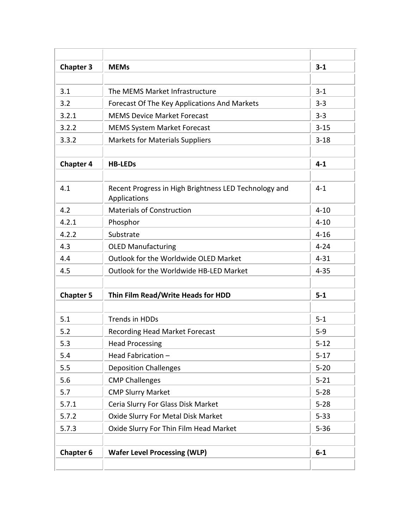| <b>Chapter 3</b> | <b>MEMs</b>                                                           | $3 - 1$  |
|------------------|-----------------------------------------------------------------------|----------|
|                  |                                                                       |          |
| 3.1              | The MEMS Market Infrastructure                                        | $3 - 1$  |
| 3.2              | Forecast Of The Key Applications And Markets                          | $3 - 3$  |
| 3.2.1            | <b>MEMS Device Market Forecast</b>                                    | $3 - 3$  |
| 3.2.2            | <b>MEMS System Market Forecast</b>                                    | $3 - 15$ |
| 3.3.2            | <b>Markets for Materials Suppliers</b>                                | $3 - 18$ |
| <b>Chapter 4</b> | <b>HB-LEDS</b>                                                        | $4 - 1$  |
|                  |                                                                       |          |
| 4.1              | Recent Progress in High Brightness LED Technology and<br>Applications | $4 - 1$  |
| 4.2              | <b>Materials of Construction</b>                                      | $4 - 10$ |
| 4.2.1            | Phosphor                                                              | $4 - 10$ |
| 4.2.2            | Substrate                                                             | $4 - 16$ |
| 4.3              | <b>OLED Manufacturing</b>                                             | $4 - 24$ |
| 4.4              | Outlook for the Worldwide OLED Market                                 | $4 - 31$ |
| 4.5              | Outlook for the Worldwide HB-LED Market                               | $4 - 35$ |
| <b>Chapter 5</b> | Thin Film Read/Write Heads for HDD                                    | $5-1$    |
| 5.1              | <b>Trends in HDDs</b>                                                 | $5 - 1$  |
| 5.2              | <b>Recording Head Market Forecast</b>                                 | $5 - 9$  |
| 5.3              | <b>Head Processing</b>                                                | $5 - 12$ |
| 5.4              | Head Fabrication-                                                     | $5 - 17$ |
| 5.5              | <b>Deposition Challenges</b>                                          | $5 - 20$ |
| 5.6              | <b>CMP Challenges</b>                                                 | $5 - 21$ |
| 5.7              | <b>CMP Slurry Market</b>                                              | $5 - 28$ |
| 5.7.1            | Ceria Slurry For Glass Disk Market                                    | $5 - 28$ |
| 5.7.2            | Oxide Slurry For Metal Disk Market                                    | $5 - 33$ |
| 5.7.3            | Oxide Slurry For Thin Film Head Market                                | $5 - 36$ |
|                  |                                                                       |          |
| <b>Chapter 6</b> | <b>Wafer Level Processing (WLP)</b>                                   | $6-1$    |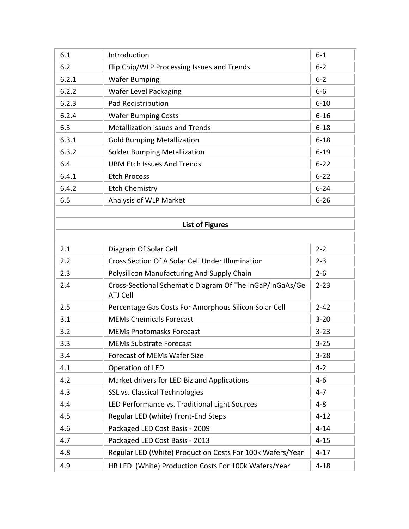| 6.1   | Introduction                                                                | $6-1$    |
|-------|-----------------------------------------------------------------------------|----------|
| 6.2   | Flip Chip/WLP Processing Issues and Trends                                  | $6 - 2$  |
| 6.2.1 | <b>Wafer Bumping</b>                                                        | $6 - 2$  |
| 6.2.2 | <b>Wafer Level Packaging</b>                                                | $6-6$    |
| 6.2.3 | <b>Pad Redistribution</b>                                                   | $6 - 10$ |
| 6.2.4 | <b>Wafer Bumping Costs</b>                                                  | $6 - 16$ |
| 6.3   | <b>Metallization Issues and Trends</b>                                      | $6 - 18$ |
| 6.3.1 | <b>Gold Bumping Metallization</b>                                           | $6 - 18$ |
| 6.3.2 | <b>Solder Bumping Metallization</b>                                         | $6 - 19$ |
| 6.4   | <b>UBM Etch Issues And Trends</b>                                           | $6 - 22$ |
| 6.4.1 | <b>Etch Process</b>                                                         | $6 - 22$ |
| 6.4.2 | <b>Etch Chemistry</b>                                                       | $6 - 24$ |
| 6.5   | Analysis of WLP Market                                                      | $6 - 26$ |
|       |                                                                             |          |
|       | <b>List of Figures</b>                                                      |          |
|       |                                                                             |          |
| 2.1   | Diagram Of Solar Cell                                                       | $2 - 2$  |
| 2.2   | Cross Section Of A Solar Cell Under Illumination                            | $2 - 3$  |
| 2.3   | Polysilicon Manufacturing And Supply Chain                                  | $2 - 6$  |
| 2.4   | Cross-Sectional Schematic Diagram Of The InGaP/InGaAs/Ge<br><b>ATJ Cell</b> | $2 - 23$ |
| 2.5   | Percentage Gas Costs For Amorphous Silicon Solar Cell                       | $2 - 42$ |
| 3.1   | <b>MEMs Chemicals Forecast</b>                                              | $3 - 20$ |
| 3.2   | <b>MEMs Photomasks Forecast</b>                                             | $3 - 23$ |
| 3.3   | <b>MEMs Substrate Forecast</b>                                              | $3 - 25$ |
| 3.4   | <b>Forecast of MEMs Wafer Size</b>                                          | $3 - 28$ |
| 4.1   | Operation of LED                                                            | $4 - 2$  |
| 4.2   | Market drivers for LED Biz and Applications                                 | $4 - 6$  |
| 4.3   | SSL vs. Classical Technologies                                              | $4 - 7$  |
| 4.4   | LED Performance vs. Traditional Light Sources                               | $4 - 8$  |
| 4.5   | Regular LED (white) Front-End Steps                                         | $4 - 12$ |
| 4.6   | Packaged LED Cost Basis - 2009                                              | $4 - 14$ |
| 4.7   | Packaged LED Cost Basis - 2013                                              | $4 - 15$ |
| 4.8   | Regular LED (White) Production Costs For 100k Wafers/Year                   | $4 - 17$ |
| 4.9   | HB LED (White) Production Costs For 100k Wafers/Year                        | $4 - 18$ |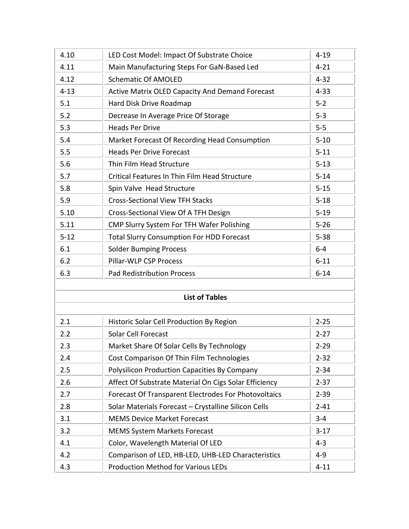| 4.10     | LED Cost Model: Impact Of Substrate Choice             | $4 - 19$ |
|----------|--------------------------------------------------------|----------|
| 4.11     | Main Manufacturing Steps For GaN-Based Led             | $4 - 21$ |
| 4.12     | <b>Schematic Of AMOLED</b>                             | $4 - 32$ |
| $4 - 13$ | <b>Active Matrix OLED Capacity And Demand Forecast</b> | $4 - 33$ |
| 5.1      | Hard Disk Drive Roadmap                                | $5 - 2$  |
| 5.2      | Decrease In Average Price Of Storage                   | $5 - 3$  |
| 5.3      | <b>Heads Per Drive</b>                                 | $5 - 5$  |
| 5.4      | Market Forecast Of Recording Head Consumption          | $5 - 10$ |
| 5.5      | <b>Heads Per Drive Forecast</b>                        | $5 - 11$ |
| 5.6      | Thin Film Head Structure                               | $5 - 13$ |
| 5.7      | Critical Features In Thin Film Head Structure          | $5 - 14$ |
| 5.8      | Spin Valve Head Structure                              | $5 - 15$ |
| 5.9      | <b>Cross-Sectional View TFH Stacks</b>                 | $5 - 18$ |
| 5.10     | Cross-Sectional View Of A TFH Design                   | $5 - 19$ |
| 5.11     | CMP Slurry System For TFH Wafer Polishing              | $5 - 26$ |
| $5 - 12$ | <b>Total Slurry Consumption For HDD Forecast</b>       | $5 - 38$ |
| 6.1      | <b>Solder Bumping Process</b>                          | $6-4$    |
| 6.2      | Pillar-WLP CSP Process                                 | $6 - 11$ |
| 6.3      | <b>Pad Redistribution Process</b>                      | $6 - 14$ |
|          |                                                        |          |
|          | <b>List of Tables</b>                                  |          |
| 2.1      | Historic Solar Cell Production By Region               | $2 - 25$ |
| 2.2      | <b>Solar Cell Forecast</b>                             | $2 - 27$ |
| 2.3      | Market Share Of Solar Cells By Technology              | $2 - 29$ |
| 2.4      | Cost Comparison Of Thin Film Technologies              | $2 - 32$ |
| 2.5      | <b>Polysilicon Production Capacities By Company</b>    | $2 - 34$ |
| 2.6      | Affect Of Substrate Material On Cigs Solar Efficiency  | $2 - 37$ |
| 2.7      | Forecast Of Transparent Electrodes For Photovoltaics   | $2 - 39$ |
| 2.8      | Solar Materials Forecast - Crystalline Silicon Cells   | $2 - 41$ |
| 3.1      | <b>MEMS Device Market Forecast</b>                     | $3 - 4$  |
| 3.2      | <b>MEMS System Markets Forecast</b>                    | $3-17$   |
| 4.1      | Color, Wavelength Material Of LED                      | $4 - 3$  |
| 4.2      | Comparison of LED, HB-LED, UHB-LED Characteristics     | $4 - 9$  |
| 4.3      | <b>Production Method for Various LEDs</b>              | $4 - 11$ |